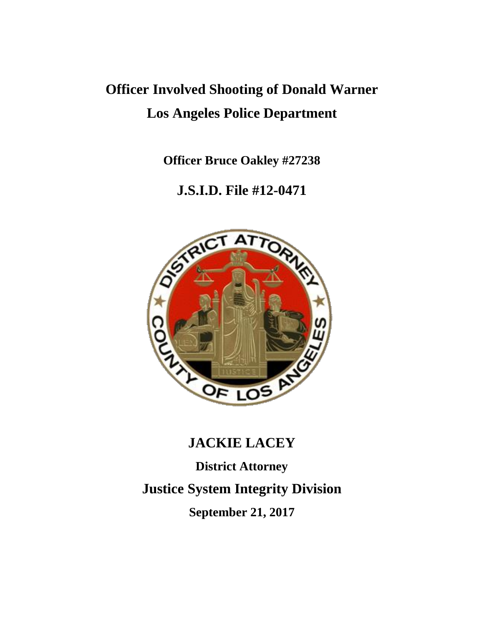# **Officer Involved Shooting of Donald Warner Los Angeles Police Department**

**Officer Bruce Oakley #27238**

## **J.S.I.D. File #12-0471**



# **JACKIE LACEY**

**District Attorney Justice System Integrity Division September 21, 2017**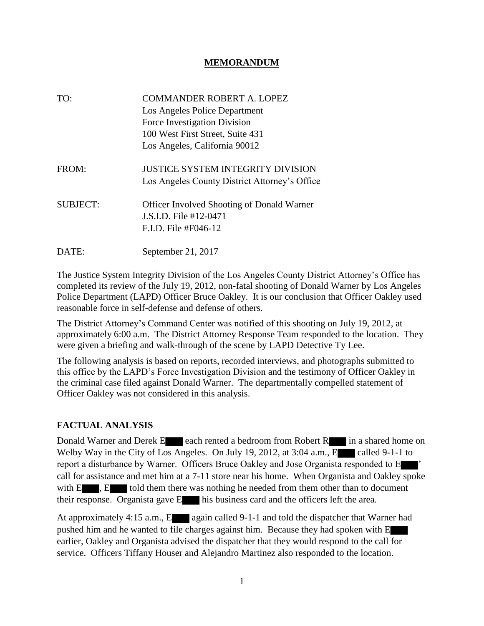#### **MEMORANDUM**

| TO:             | <b>COMMANDER ROBERT A. LOPEZ</b><br>Los Angeles Police Department<br>Force Investigation Division<br>100 West First Street, Suite 431<br>Los Angeles, California 90012 |
|-----------------|------------------------------------------------------------------------------------------------------------------------------------------------------------------------|
| FROM:           | <b>JUSTICE SYSTEM INTEGRITY DIVISION</b><br>Los Angeles County District Attorney's Office                                                                              |
| <b>SUBJECT:</b> | <b>Officer Involved Shooting of Donald Warner</b><br>J.S.I.D. File #12-0471<br>$F.L.D.$ File #F046-12                                                                  |
| DATE:           | September 21, 2017                                                                                                                                                     |

The Justice System Integrity Division of the Los Angeles County District Attorney's Office has completed its review of the July 19, 2012, non-fatal shooting of Donald Warner by Los Angeles Police Department (LAPD) Officer Bruce Oakley. It is our conclusion that Officer Oakley used reasonable force in self-defense and defense of others.

The District Attorney's Command Center was notified of this shooting on July 19, 2012, at approximately 6:00 a.m. The District Attorney Response Team responded to the location. They were given a briefing and walk-through of the scene by LAPD Detective Ty Lee.

The following analysis is based on reports, recorded interviews, and photographs submitted to this office by the LAPD's Force Investigation Division and the testimony of Officer Oakley in the criminal case filed against Donald Warner. The departmentally compelled statement of Officer Oakley was not considered in this analysis.

#### **FACTUAL ANALYSIS**

Donald Warner and Derek E each rented a bedroom from Robert R in a shared home on Welby Way in the City of Los Angeles. On July 19, 2012, at 3:04 a.m., E called 9-1-1 to report a disturbance by Warner. Officers Bruce Oakley and Jose Organista responded to E ' call for assistance and met him at a 7-11 store near his home. When Organista and Oakley spoke with  $E_{\text{R}}$ ,  $E_{\text{R}}$  told them there was nothing he needed from them other than to document their response. Organista gave E his business card and the officers left the area.

At approximately 4:15 a.m., E again called 9-1-1 and told the dispatcher that Warner had pushed him and he wanted to file charges against him. Because they had spoken with E earlier, Oakley and Organista advised the dispatcher that they would respond to the call for service. Officers Tiffany Houser and Alejandro Martinez also responded to the location.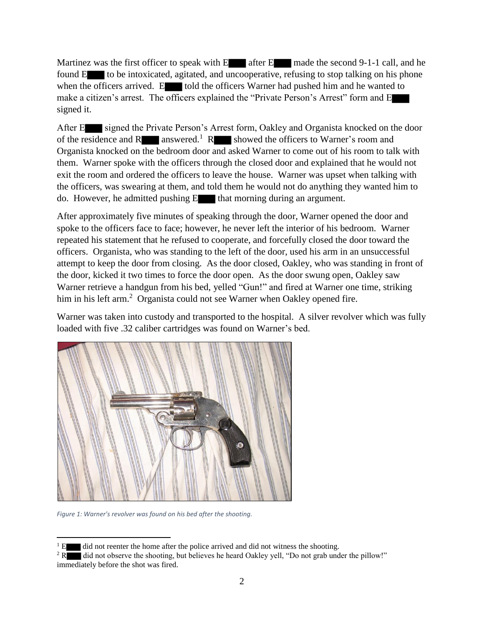Martinez was the first officer to speak with  $E$  after  $E$  made the second 9-1-1 call, and he found  $E$  to be intoxicated, agitated, and uncooperative, refusing to stop talking on his phone when the officers arrived. E told the officers Warner had pushed him and he wanted to make a citizen's arrest. The officers explained the "Private Person's Arrest" form and E signed it.

After E signed the Private Person's Arrest form, Oakley and Organista knocked on the door of the residence and  $R$  answered.<sup>1</sup> R showed the officers to Warner's room and Organista knocked on the bedroom door and asked Warner to come out of his room to talk with them. Warner spoke with the officers through the closed door and explained that he would not exit the room and ordered the officers to leave the house. Warner was upset when talking with the officers, was swearing at them, and told them he would not do anything they wanted him to do. However, he admitted pushing E that morning during an argument.

After approximately five minutes of speaking through the door, Warner opened the door and spoke to the officers face to face; however, he never left the interior of his bedroom. Warner repeated his statement that he refused to cooperate, and forcefully closed the door toward the officers. Organista, who was standing to the left of the door, used his arm in an unsuccessful attempt to keep the door from closing. As the door closed, Oakley, who was standing in front of the door, kicked it two times to force the door open. As the door swung open, Oakley saw Warner retrieve a handgun from his bed, yelled "Gun!" and fired at Warner one time, striking him in his left arm.<sup>2</sup> Organista could not see Warner when Oakley opened fire.

Warner was taken into custody and transported to the hospital. A silver revolver which was fully loaded with five .32 caliber cartridges was found on Warner's bed.



*Figure 1: Warner's revolver was found on his bed after the shooting.*

 $\overline{\phantom{a}}$  $1 \text{ E}$  did not reenter the home after the police arrived and did not witness the shooting.

<sup>&</sup>lt;sup>2</sup> R did not observe the shooting, but believes he heard Oakley yell, "Do not grab under the pillow!" immediately before the shot was fired.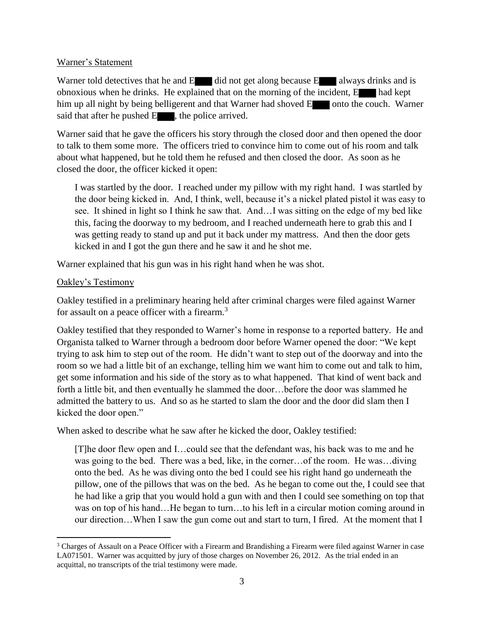#### Warner's Statement

Warner told detectives that he and  $E$  did not get along because  $E$  always drinks and is obnoxious when he drinks. He explained that on the morning of the incident, E had kept him up all night by being belligerent and that Warner had shoved E onto the couch. Warner said that after he pushed  $E_{\text{eff}}$ , the police arrived.

Warner said that he gave the officers his story through the closed door and then opened the door to talk to them some more. The officers tried to convince him to come out of his room and talk about what happened, but he told them he refused and then closed the door. As soon as he closed the door, the officer kicked it open:

I was startled by the door. I reached under my pillow with my right hand. I was startled by the door being kicked in. And, I think, well, because it's a nickel plated pistol it was easy to see. It shined in light so I think he saw that. And…I was sitting on the edge of my bed like this, facing the doorway to my bedroom, and I reached underneath here to grab this and I was getting ready to stand up and put it back under my mattress. And then the door gets kicked in and I got the gun there and he saw it and he shot me.

Warner explained that his gun was in his right hand when he was shot.

#### Oakley's Testimony

Oakley testified in a preliminary hearing held after criminal charges were filed against Warner for assault on a peace officer with a firearm.<sup>3</sup>

Oakley testified that they responded to Warner's home in response to a reported battery. He and Organista talked to Warner through a bedroom door before Warner opened the door: "We kept trying to ask him to step out of the room. He didn't want to step out of the doorway and into the room so we had a little bit of an exchange, telling him we want him to come out and talk to him, get some information and his side of the story as to what happened. That kind of went back and forth a little bit, and then eventually he slammed the door…before the door was slammed he admitted the battery to us. And so as he started to slam the door and the door did slam then I kicked the door open."

When asked to describe what he saw after he kicked the door, Oakley testified:

[T]he door flew open and I…could see that the defendant was, his back was to me and he was going to the bed. There was a bed, like, in the corner…of the room. He was…diving onto the bed. As he was diving onto the bed I could see his right hand go underneath the pillow, one of the pillows that was on the bed. As he began to come out the, I could see that he had like a grip that you would hold a gun with and then I could see something on top that was on top of his hand…He began to turn…to his left in a circular motion coming around in our direction…When I saw the gun come out and start to turn, I fired. At the moment that I

 $\overline{\phantom{a}}$ <sup>3</sup> Charges of Assault on a Peace Officer with a Firearm and Brandishing a Firearm were filed against Warner in case LA071501. Warner was acquitted by jury of those charges on November 26, 2012. As the trial ended in an acquittal, no transcripts of the trial testimony were made.